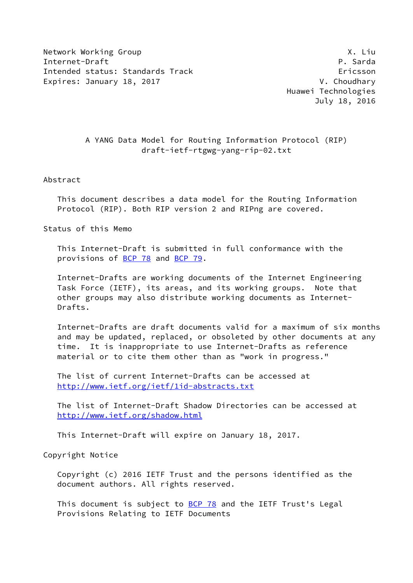Network Working Group **X. Limits and Struck** Working Group Internet-Draft P. Sarda Intended status: Standards Track Ericsson Expires: January 18, 2017 **V. Choudhary** 

 Huawei Technologies July 18, 2016

### A YANG Data Model for Routing Information Protocol (RIP) draft-ietf-rtgwg-yang-rip-02.txt

### Abstract

 This document describes a data model for the Routing Information Protocol (RIP). Both RIP version 2 and RIPng are covered.

Status of this Memo

 This Internet-Draft is submitted in full conformance with the provisions of [BCP 78](https://datatracker.ietf.org/doc/pdf/bcp78) and [BCP 79](https://datatracker.ietf.org/doc/pdf/bcp79).

 Internet-Drafts are working documents of the Internet Engineering Task Force (IETF), its areas, and its working groups. Note that other groups may also distribute working documents as Internet- Drafts.

 Internet-Drafts are draft documents valid for a maximum of six months and may be updated, replaced, or obsoleted by other documents at any time. It is inappropriate to use Internet-Drafts as reference material or to cite them other than as "work in progress."

 The list of current Internet-Drafts can be accessed at <http://www.ietf.org/ietf/1id-abstracts.txt>

 The list of Internet-Draft Shadow Directories can be accessed at <http://www.ietf.org/shadow.html>

This Internet-Draft will expire on January 18, 2017.

Copyright Notice

 Copyright (c) 2016 IETF Trust and the persons identified as the document authors. All rights reserved.

This document is subject to [BCP 78](https://datatracker.ietf.org/doc/pdf/bcp78) and the IETF Trust's Legal Provisions Relating to IETF Documents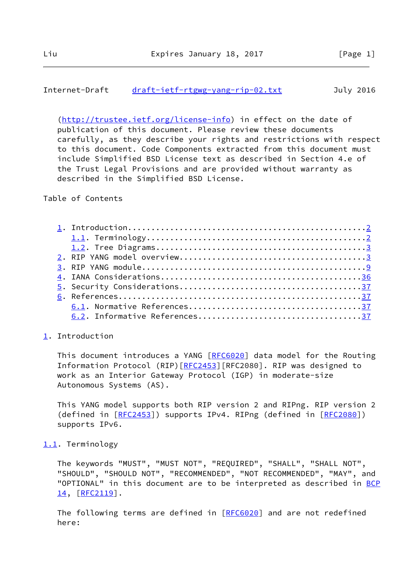### <span id="page-1-1"></span>Internet-Draft [draft-ietf-rtgwg-yang-rip-02.txt](https://datatracker.ietf.org/doc/pdf/draft-ietf-rtgwg-yang-rip-02.txt) July 2016

 [\(http://trustee.ietf.org/license-info](http://trustee.ietf.org/license-info)) in effect on the date of publication of this document. Please review these documents carefully, as they describe your rights and restrictions with respect to this document. Code Components extracted from this document must include Simplified BSD License text as described in Section 4.e of the Trust Legal Provisions and are provided without warranty as described in the Simplified BSD License.

Table of Contents

### <span id="page-1-0"></span>[1](#page-1-0). Introduction

This document introduces a YANG [\[RFC6020](https://datatracker.ietf.org/doc/pdf/rfc6020)] data model for the Routing Information Protocol (RIP) [[RFC2453](https://datatracker.ietf.org/doc/pdf/rfc2453)] [RFC2080]. RIP was designed to work as an Interior Gateway Protocol (IGP) in moderate-size Autonomous Systems (AS).

 This YANG model supports both RIP version 2 and RIPng. RIP version 2 (defined in [\[RFC2453](https://datatracker.ietf.org/doc/pdf/rfc2453)]) supports IPv4. RIPng (defined in [\[RFC2080](https://datatracker.ietf.org/doc/pdf/rfc2080)]) supports IPv6.

### <span id="page-1-2"></span>[1.1](#page-1-2). Terminology

 The keywords "MUST", "MUST NOT", "REQUIRED", "SHALL", "SHALL NOT", "SHOULD", "SHOULD NOT", "RECOMMENDED", "NOT RECOMMENDED", "MAY", and "OPTIONAL" in this document are to be interpreted as described in [BCP](https://datatracker.ietf.org/doc/pdf/bcp14) [14](https://datatracker.ietf.org/doc/pdf/bcp14), [\[RFC2119](https://datatracker.ietf.org/doc/pdf/rfc2119)].

The following terms are defined in [[RFC6020\]](https://datatracker.ietf.org/doc/pdf/rfc6020) and are not redefined here: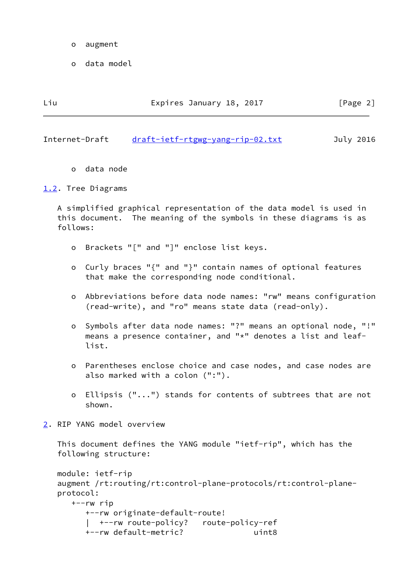- o augment
- o data model

<span id="page-2-1"></span>

| Liu<br>Expires January 18, 2017<br>[Page 2] |  |  |
|---------------------------------------------|--|--|
|---------------------------------------------|--|--|

o data node

<span id="page-2-0"></span>[1.2](#page-2-0). Tree Diagrams

 A simplified graphical representation of the data model is used in this document. The meaning of the symbols in these diagrams is as follows:

- o Brackets "[" and "]" enclose list keys.
- o Curly braces "{" and "}" contain names of optional features that make the corresponding node conditional.
- o Abbreviations before data node names: "rw" means configuration (read-write), and "ro" means state data (read-only).
- o Symbols after data node names: "?" means an optional node, "!" means a presence container, and "\*" denotes a list and leaf list.
- o Parentheses enclose choice and case nodes, and case nodes are also marked with a colon (":").
- o Ellipsis ("...") stands for contents of subtrees that are not shown.
- <span id="page-2-2"></span>[2](#page-2-2). RIP YANG model overview

 This document defines the YANG module "ietf-rip", which has the following structure:

```
 module: ietf-rip
augment /rt:routing/rt:control-plane-protocols/rt:control-plane-
protocol:
  +--rw rip
     +--rw originate-default-route!
       | +--rw route-policy? route-policy-ref
     +--rw default-metric? uint8
```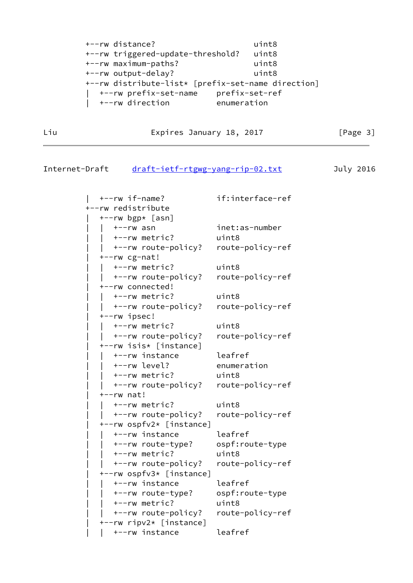```
 +--rw distance? uint8
+--rw triggered-update-threshold? uint8
+--rw maximum-paths? uint8
+--rw output-delay? uint8
+--rw distribute-list* [prefix-set-name direction]
  | +--rw prefix-set-name prefix-set-ref
  | +--rw direction enumeration
```
Liu Expires January 18, 2017 [Page 3]

### Internet-Draft [draft-ietf-rtgwg-yang-rip-02.txt](https://datatracker.ietf.org/doc/pdf/draft-ietf-rtgwg-yang-rip-02.txt) July 2016

 | +--rw if-name? if:interface-ref +--rw redistribute  $+--rw$  bgp $*$  [asn] | | +--rw asn inet:as-number | | +--rw metric? uint8 | | +--rw route-policy? route-policy-ref | +--rw cg-nat! | | +--rw metric? uint8 | | +--rw route-policy? route-policy-ref | +--rw connected! | | +--rw metric? uint8 | | +--rw route-policy? route-policy-ref | +--rw ipsec! | | +--rw metric? uint8 | | +--rw route-policy? route-policy-ref | +--rw isis\* [instance] | | +--rw instance leafref | | +--rw level? enumeration | | +--rw metric? uint8 | | +--rw route-policy? route-policy-ref | +--rw nat! | | +--rw metric? uint8 | | +--rw route-policy? route-policy-ref | +--rw ospfv2\* [instance] | | +--rw instance leafref | | +--rw route-type? ospf:route-type | | +--rw metric? uint8 | | +--rw route-policy? route-policy-ref | +--rw ospfv3\* [instance] | | +--rw instance leafref | | +--rw route-type? ospf:route-type | | +--rw metric? uint8 | | +--rw route-policy? route-policy-ref | +--rw ripv2\* [instance] | | +--rw instance leafref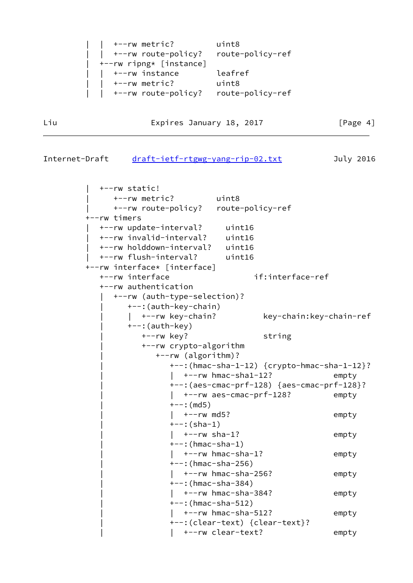```
 | | +--rw metric? uint8
   | | +--rw route-policy? route-policy-ref
| +--rw ripng* [instance]
  | | +--rw instance leafref
   | | +--rw metric? uint8
   | | +--rw route-policy? route-policy-ref
```
Liu Expires January 18, 2017 [Page 4]

```
Internet-Draft draft-ietf-rtgwg-yang-rip-02.txt July 2016
```
 | +--rw static! | +--rw metric? uint8 | +--rw route-policy? route-policy-ref +--rw timers | +--rw update-interval? uint16 | +--rw invalid-interval? uint16 | +--rw holddown-interval? uint16 | +--rw flush-interval? uint16 +--rw interface\* [interface] +--rw interface if:interface-ref +--rw authentication | +--rw (auth-type-selection)? | +--:(auth-key-chain) | | +--rw key-chain? key-chain:key-chain-ref | +--:(auth-key) | +--rw key? string | +--rw crypto-algorithm | +--rw (algorithm)? | +--:(hmac-sha-1-12) {crypto-hmac-sha-1-12}? |  $+--rw$  hmac-sha1-12? empty | +--:(aes-cmac-prf-128) {aes-cmac-prf-128}? |  $+--rw$  aes-cmac-prf-128? empty  $+--:$  (md5) | | +--rw md5? empty  $+--:({sha-1})$ |  $+--rw$  sha-1? empty | +--:(hmac-sha-1) | | +--rw hmac-sha-1? empty | +--:(hmac-sha-256) |  $+--rw$  hmac-sha-256? empty | +--:(hmac-sha-384) | | +--rw hmac-sha-384? empty  $+--:$  (hmac-sha-512) |  $+-rw$  hmac-sha-512? empty | +--:(clear-text) {clear-text}? |  $+--rw$  clear-text? empty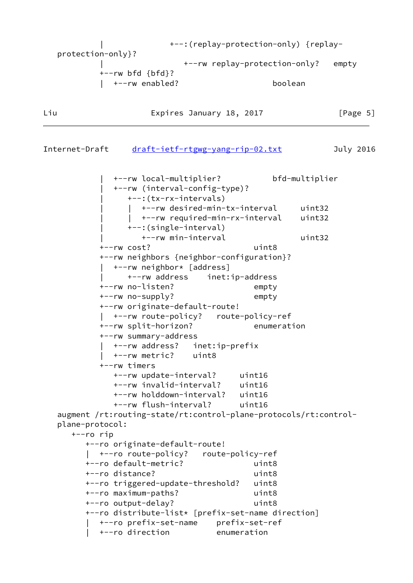```
 | +--:(replay-protection-only) {replay-
protection-only}?
                         | +--rw replay-protection-only? empty
        +--rw bfd {bfd}?
         | +--rw enabled? boolean
```
Liu Expires January 18, 2017 [Page 5]

Internet-Draft [draft-ietf-rtgwg-yang-rip-02.txt](https://datatracker.ietf.org/doc/pdf/draft-ietf-rtgwg-yang-rip-02.txt) July 2016

```
 | +--rw local-multiplier? bfd-multiplier
          | +--rw (interval-config-type)?
             | +--:(tx-rx-intervals)
             | | +--rw desired-min-tx-interval uint32
               | | +--rw required-min-rx-interval uint32
             | +--:(single-interval)
                | +--rw min-interval uint32
        +--rw cost? uint8
        +--rw neighbors {neighbor-configuration}?
          | +--rw neighbor* [address]
             | +--rw address inet:ip-address
        +--rw no-listen? empty
        +--rw no-supply? empty
        +--rw originate-default-route!
          | +--rw route-policy? route-policy-ref
        +--rw split-horizon? enumeration
        +--rw summary-address
          | +--rw address? inet:ip-prefix
          | +--rw metric? uint8
        +--rw timers
          +--rw update-interval? uint16
          +--rw invalid-interval? uint16
          +--rw holddown-interval? uint16
          +--rw flush-interval? uint16
augment /rt:routing-state/rt:control-plane-protocols/rt:control-
plane-protocol:
  +--ro rip
     +--ro originate-default-route!
      | +--ro route-policy? route-policy-ref
     +--ro default-metric? uint8
     +--ro distance? uint8
     +--ro triggered-update-threshold? uint8
     +--ro maximum-paths? uint8
     +--ro output-delay? uint8
     +--ro distribute-list* [prefix-set-name direction]
       | +--ro prefix-set-name prefix-set-ref
        | +--ro direction enumeration
```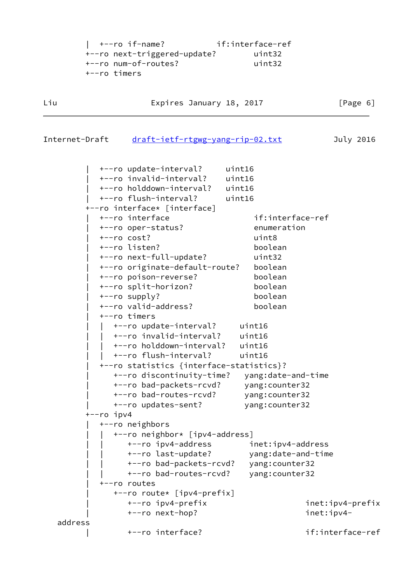| +--ro if-name?               | if:interface-ref |
|------------------------------|------------------|
| +--ro next-triggered-update? | uint32           |
| +--ro num-of-routes?         | uint32           |
| +--ro timers                 |                  |

Liu **Expires January 18, 2017** [Page 6]

```
draft-ietf-rtgwg-yang-rip-02.txt July 2016
```

|         | +--ro update-interval?                   |                                 | uint16             |                  |
|---------|------------------------------------------|---------------------------------|--------------------|------------------|
|         | +--ro invalid-interval?                  |                                 | uint16             |                  |
|         | +--ro holddown-interval?                 |                                 | uint16             |                  |
|         | +--ro flush-interval?                    |                                 | uint16             |                  |
|         | +--ro interface* [interface]             |                                 |                    |                  |
|         | +--ro interface                          |                                 | if:interface-ref   |                  |
|         | +--ro oper-status?                       |                                 | enumeration        |                  |
|         | $+--ro cost?$                            |                                 | uint8              |                  |
|         | +--ro listen?                            |                                 | boolean            |                  |
|         | +--ro next-full-update?                  |                                 | uint32             |                  |
|         | +--ro originate-default-route?           |                                 | boolean            |                  |
|         | +--ro poison-reverse?                    |                                 | boolean            |                  |
|         | +--ro split-horizon?                     |                                 | boolean            |                  |
|         | +--ro supply?                            |                                 | boolean            |                  |
|         | +--ro valid-address?                     |                                 | boolean            |                  |
|         | +--ro timers                             |                                 |                    |                  |
|         |                                          | +--ro update-interval? uint16   |                    |                  |
|         |                                          | +--ro invalid-interval? uint16  |                    |                  |
|         |                                          | +--ro holddown-interval? uint16 |                    |                  |
|         | +--ro flush-interval?                    |                                 | uint16             |                  |
|         | +--ro statistics {interface-statistics}? |                                 |                    |                  |
|         |                                          | +--ro discontinuity-time?       | yang:date-and-time |                  |
|         | +--ro bad-packets-rcvd?                  |                                 | yang: counter32    |                  |
|         | +--ro bad-routes-rcvd?                   |                                 | yang: counter32    |                  |
|         | +--ro updates-sent?                      |                                 | yang: counter32    |                  |
|         | +--ro ipv4                               |                                 |                    |                  |
|         | +--ro neighbors                          |                                 |                    |                  |
|         |                                          | +--ro neighbor* [ipv4-address]  |                    |                  |
|         | +--ro ipv4-address                       |                                 | inet:ipv4-address  |                  |
|         | +--ro last-update?                       |                                 | yang:date-and-time |                  |
|         |                                          | +--ro bad-packets-rcvd?         | yang: counter32    |                  |
|         |                                          | +--ro bad-routes-rcvd?          | yang: counter32    |                  |
|         | +--ro routes                             |                                 |                    |                  |
|         |                                          | +--ro route* [ipv4-prefix]      |                    |                  |
|         | +--ro ipv4-prefix                        |                                 |                    | inet:ipv4-prefix |
|         | +--ro next-hop?                          |                                 |                    | inet:ipv4-       |
| address |                                          |                                 |                    |                  |
|         | +--ro interface?                         |                                 |                    | if:interface-ref |
|         |                                          |                                 |                    |                  |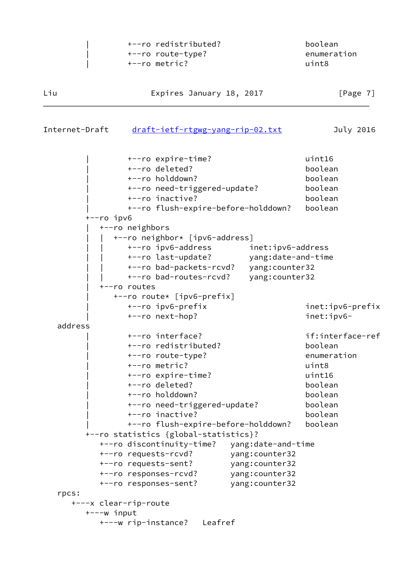|                | +--ro redistributed?<br>+--ro route-type?<br>+--ro metric? |                    | boolean<br>enumeration<br>uint8 |
|----------------|------------------------------------------------------------|--------------------|---------------------------------|
| Liu            | Expires January 18, 2017                                   |                    | [Page $7$ ]                     |
| Internet-Draft | draft-ietf-rtgwg-yang-rip-02.txt                           |                    | July 2016                       |
|                | +--ro expire-time?                                         |                    | uint16                          |
|                | +--ro deleted?                                             |                    | boolean                         |
|                | +--ro holddown?                                            |                    | boolean                         |
|                | +--ro need-triggered-update?                               |                    | boolean                         |
|                | +--ro inactive?                                            |                    | boolean                         |
|                | +--ro flush-expire-before-holddown?                        |                    | boolean                         |
| $+--ro$ ipv6   |                                                            |                    |                                 |
|                | +--ro neighbors<br>+--ro neighbor* [ipv6-address]          |                    |                                 |
|                | +--ro ipv6-address                                         | inet:ipv6-address  |                                 |
|                | +--ro last-update?                                         | yang:date-and-time |                                 |
|                | +--ro bad-packets-rcvd?                                    | yang: counter32    |                                 |
|                | +--ro bad-routes-rcvd?                                     | yang: counter32    |                                 |
|                | +--ro routes                                               |                    |                                 |
|                | +--ro route* [ipv6-prefix]                                 |                    |                                 |
|                | +--ro ipv6-prefix                                          |                    | inet:ipv6-prefix                |
|                | +--ro next-hop?                                            |                    | inet:ipv6-                      |
| address        |                                                            |                    |                                 |
|                | +--ro interface?                                           |                    | if:interface-ref                |
|                | +--ro redistributed?                                       |                    | boolean                         |
|                | +--ro route-type?                                          |                    | enumeration                     |
|                | +--ro metric?                                              |                    | uint8                           |
|                | +--ro expire-time?                                         |                    | uint16                          |
|                | +--ro deleted?                                             |                    | boolean                         |
|                | +--ro holddown?                                            |                    | boolean                         |
|                | +--ro need-triggered-update?                               |                    | boolean                         |
|                | +--ro inactive?                                            |                    | boolean                         |
|                | +--ro flush-expire-before-holddown?                        |                    | boolean                         |
|                | +--ro statistics {global-statistics}?                      |                    |                                 |
|                | +--ro discontinuity-time?                                  | yang:date-and-time |                                 |
|                | +--ro requests-rcvd?                                       | yang: counter32    |                                 |
|                | +--ro requests-sent?                                       | yang: counter32    |                                 |
|                | +--ro responses-rcvd?                                      | yang: counter32    |                                 |
|                | +--ro responses-sent?                                      | yang: counter32    |                                 |
| rpcs:          |                                                            |                    |                                 |
| $+---w$ input  | +---x clear-rip-route                                      |                    |                                 |
|                | +---w rip-instance?<br>Leafref                             |                    |                                 |
|                |                                                            |                    |                                 |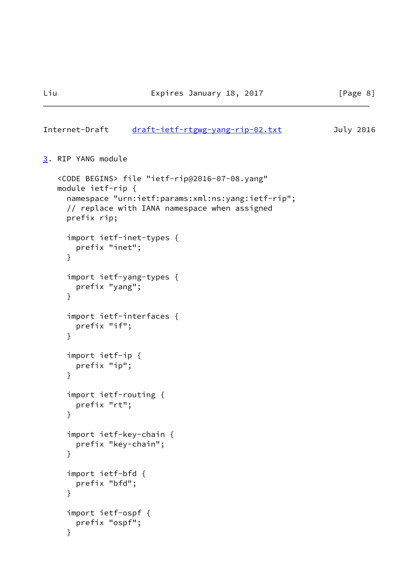#### <span id="page-8-1"></span>Internet-Draft [draft-ietf-rtgwg-yang-rip-02.txt](https://datatracker.ietf.org/doc/pdf/draft-ietf-rtgwg-yang-rip-02.txt) July 2016

```
3. RIP YANG module
```

```
 <CODE BEGINS> file "ietf-rip@2016-07-08.yang"
module ietf-rip {
  namespace "urn:ietf:params:xml:ns:yang:ietf-rip";
  // replace with IANA namespace when assigned
  prefix rip;
  import ietf-inet-types {
    prefix "inet";
  }
  import ietf-yang-types {
    prefix "yang";
  }
  import ietf-interfaces {
    prefix "if";
  }
  import ietf-ip {
    prefix "ip";
  }
  import ietf-routing {
    prefix "rt";
  }
  import ietf-key-chain {
    prefix "key-chain";
  }
  import ietf-bfd {
    prefix "bfd";
  }
  import ietf-ospf {
    prefix "ospf";
  }
```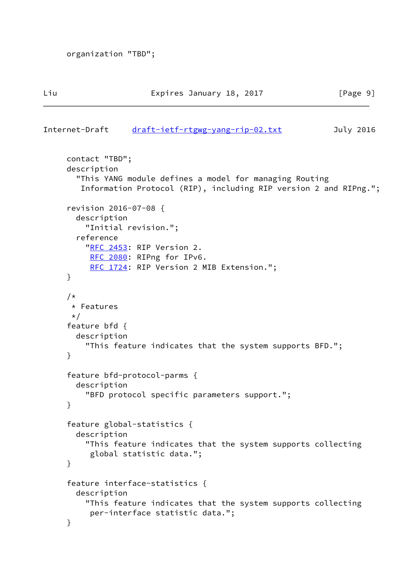```
 organization "TBD";
```

```
 contact "TBD";
description
  "This YANG module defines a model for managing Routing
   Information Protocol (RIP), including RIP version 2 and RIPng.";
revision 2016-07-08 {
  description
    "Initial revision.";
  reference
   RFC 2453: RIP Version 2.
     RFC 2080: RIPng for IPv6.
    RFC 1724: RIP Version 2 MIB Extension.";
}
/*
* Features
*/
feature bfd {
  description
    "This feature indicates that the system supports BFD.";
}
feature bfd-protocol-parms {
  description
    "BFD protocol specific parameters support.";
}
feature global-statistics {
  description
    "This feature indicates that the system supports collecting
     global statistic data.";
}
feature interface-statistics {
  description
    "This feature indicates that the system supports collecting
     per-interface statistic data.";
}
```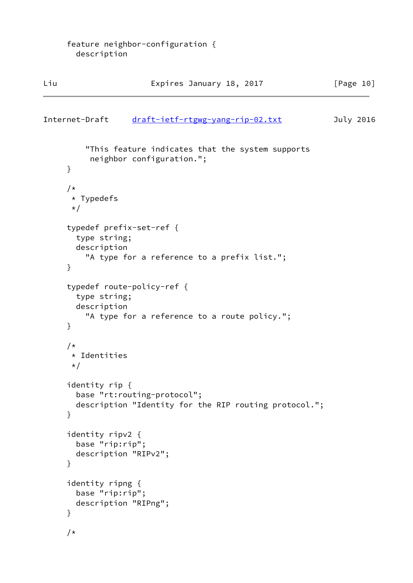| Liu                                                              | Expires January 18, 2017                                                              | [Page 10] |
|------------------------------------------------------------------|---------------------------------------------------------------------------------------|-----------|
| Internet-Draft                                                   | draft-ietf-rtgwg-yang-rip-02.txt                                                      | July 2016 |
| }                                                                | "This feature indicates that the system supports<br>neighbor configuration.";         |           |
| $/\star$<br>* Typedefs<br>$\star/$                               |                                                                                       |           |
| typedef prefix-set-ref {<br>type string;<br>description<br>}     | "A type for a reference to a prefix list.";                                           |           |
| typedef route-policy-ref {<br>type string;<br>description<br>}   | "A type for a reference to a route policy.";                                          |           |
| $/\star$<br>* Identities<br>$\star/$                             |                                                                                       |           |
| identity rip {<br>}                                              | base "rt: routing-protocol";<br>description "Identity for the RIP routing protocol."; |           |
| identity ripv2 {<br>base "rip:rip";<br>description "RIPv2";<br>} |                                                                                       |           |
| identity ripng {<br>base "rip:rip";<br>description "RIPng";<br>} |                                                                                       |           |
| $/\star$                                                         |                                                                                       |           |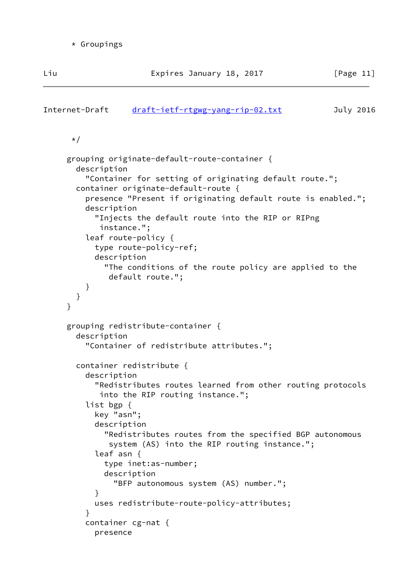```
draft-ietf-rtgwg-yang-rip-02.txt July 2016
```

```
 */
```

```
 grouping originate-default-route-container {
       description
         "Container for setting of originating default route.";
       container originate-default-route {
         presence "Present if originating default route is enabled.";
         description
           "Injects the default route into the RIP or RIPng
            instance.";
         leaf route-policy {
           type route-policy-ref;
           description
             "The conditions of the route policy are applied to the
              default route.";
         }
      }
     }
    grouping redistribute-container {
       description
         "Container of redistribute attributes.";
       container redistribute {
         description
           "Redistributes routes learned from other routing protocols
            into the RIP routing instance.";
         list bgp {
           key "asn";
           description
             "Redistributes routes from the specified BGP autonomous
              system (AS) into the RIP routing instance.";
           leaf asn {
             type inet:as-number;
             description
               "BFP autonomous system (AS) number.";
}
           uses redistribute-route-policy-attributes;
}
         container cg-nat {
           presence
```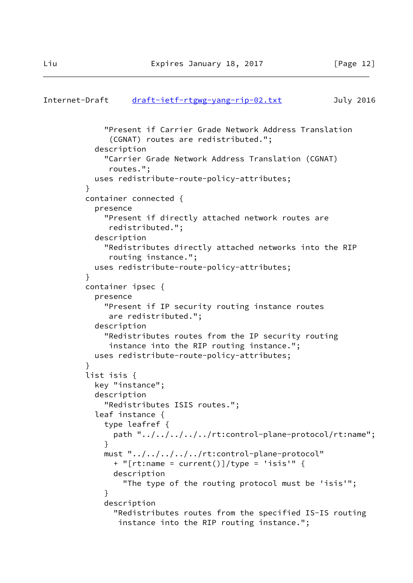```
Internet-Draft draft-ietf-rtgwg-yang-rip-02.txt July 2016
             "Present if Carrier Grade Network Address Translation
              (CGNAT) routes are redistributed.";
           description
             "Carrier Grade Network Address Translation (CGNAT)
              routes.";
           uses redistribute-route-policy-attributes;
}
         container connected {
          presence
             "Present if directly attached network routes are
              redistributed.";
           description
             "Redistributes directly attached networks into the RIP
              routing instance.";
           uses redistribute-route-policy-attributes;
}
         container ipsec {
           presence
             "Present if IP security routing instance routes
              are redistributed.";
           description
             "Redistributes routes from the IP security routing
              instance into the RIP routing instance.";
          uses redistribute-route-policy-attributes;
}
         list isis {
          key "instance";
           description
             "Redistributes ISIS routes.";
           leaf instance {
             type leafref {
              path "../../../../../rt:control-plane-protocol/rt:name";
}
             must "../../../../../rt:control-plane-protocol"
               + "[rt:name = current()]/type = 'isis'" {
               description
                 "The type of the routing protocol must be 'isis'";
}
             description
               "Redistributes routes from the specified IS-IS routing
                instance into the RIP routing instance.";
```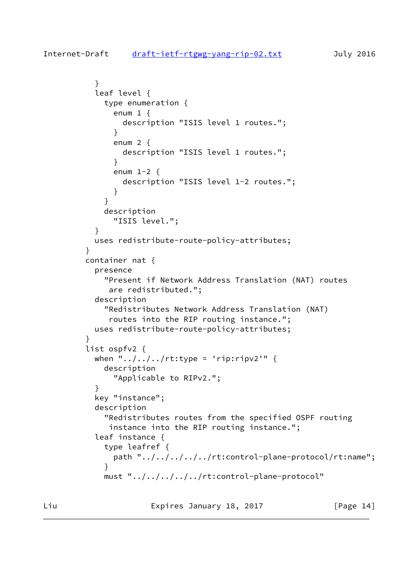```
 }
          leaf level {
            type enumeration {
             enum 1 \{ description "ISIS level 1 routes.";
}
              enum 2 {
                description "ISIS level 1 routes.";
}
              enum 1-2 {
                description "ISIS level 1-2 routes.";
}
}
            description
              "ISIS level.";
}
          uses redistribute-route-policy-attributes;
}
        container nat {
          presence
            "Present if Network Address Translation (NAT) routes
             are redistributed.";
          description
            "Redistributes Network Address Translation (NAT)
             routes into the RIP routing instance.";
          uses redistribute-route-policy-attributes;
}
        list ospfv2 {
         when "\ldots/\ldots/\ldotsrt:type = 'rip:ripv2'" {
            description
              "Applicable to RIPv2.";
}
          key "instance";
          description
            "Redistributes routes from the specified OSPF routing
             instance into the RIP routing instance.";
          leaf instance {
            type leafref {
              path "../../../../../rt:control-plane-protocol/rt:name";
}
            must "../../../../../rt:control-plane-protocol"
```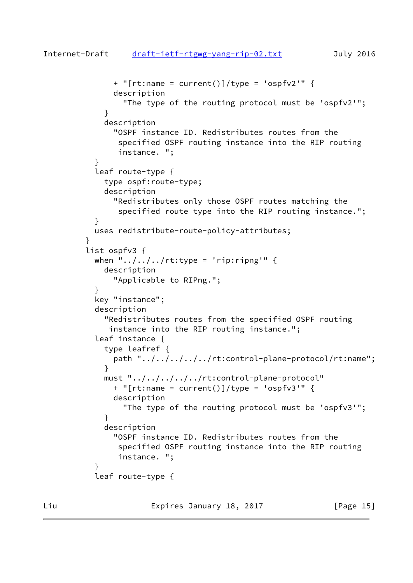```
 + "[rt:name = current()]/type = 'ospfv2'" {
              description
                "The type of the routing protocol must be 'ospfv2'";
}
            description
              "OSPF instance ID. Redistributes routes from the
               specified OSPF routing instance into the RIP routing
               instance. ";
}
          leaf route-type {
            type ospf:route-type;
            description
              "Redistributes only those OSPF routes matching the
               specified route type into the RIP routing instance.";
}
          uses redistribute-route-policy-attributes;
}
        list ospfv3 {
         when "\ldots/\ldots/\ldotsrt:type = 'rip:ripng'" {
            description
              "Applicable to RIPng.";
}
          key "instance";
          description
            "Redistributes routes from the specified OSPF routing
             instance into the RIP routing instance.";
          leaf instance {
            type leafref {
              path "../../../../../rt:control-plane-protocol/rt:name";
}
            must "../../../../../rt:control-plane-protocol"
              + "[rt:name = current()]/type = 'ospfv3'" {
              description
                "The type of the routing protocol must be 'ospfv3'";
}
            description
              "OSPF instance ID. Redistributes routes from the
               specified OSPF routing instance into the RIP routing
               instance. ";
}
          leaf route-type {
```
Liu **Expires January 18, 2017** [Page 15]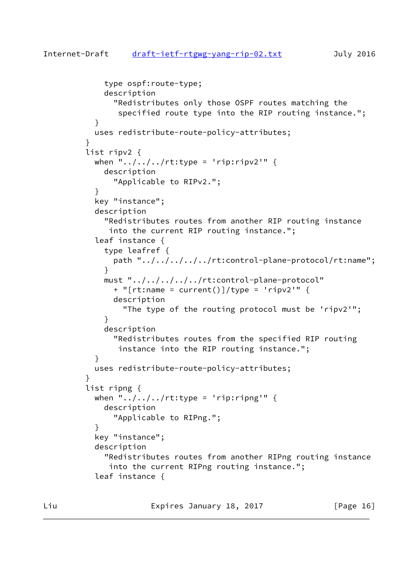```
 type ospf:route-type;
            description
              "Redistributes only those OSPF routes matching the
               specified route type into the RIP routing instance.";
}
          uses redistribute-route-policy-attributes;
}
        list ripv2 {
         when "\ldots/\ldots/\ldotsrt:type = 'rip:ripv2'" {
            description
              "Applicable to RIPv2.";
}
          key "instance";
          description
            "Redistributes routes from another RIP routing instance
             into the current RIP routing instance.";
          leaf instance {
            type leafref {
              path "../../../../../rt:control-plane-protocol/rt:name";
}
            must "../../../../../rt:control-plane-protocol"
              + "[rt:name = current()]/type = 'ripv2'" {
              description
                "The type of the routing protocol must be 'ripv2'";
}
            description
              "Redistributes routes from the specified RIP routing
               instance into the RIP routing instance.";
}
          uses redistribute-route-policy-attributes;
}
        list ripng {
         when "\ldots,,,,,,rt:type = 'rip:ripng'" {
            description
              "Applicable to RIPng.";
}
          key "instance";
          description
            "Redistributes routes from another RIPng routing instance
             into the current RIPng routing instance.";
          leaf instance {
```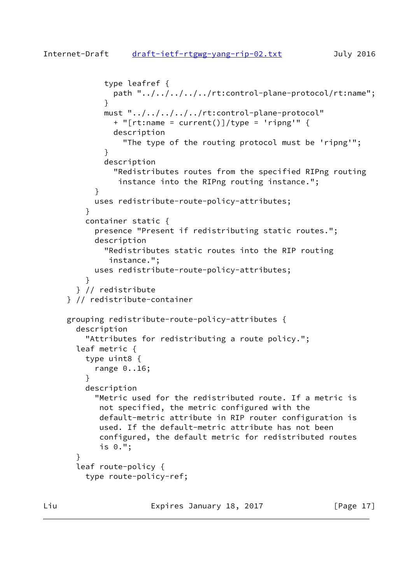```
 type leafref {
              path "../../../../../rt:control-plane-protocol/rt:name";
}
            must "../../../../../rt:control-plane-protocol"
             + "[rt:name = current()]/type = 'ripng'" {
              description
                "The type of the routing protocol must be 'ripng'";
}
            description
              "Redistributes routes from the specified RIPng routing
               instance into the RIPng routing instance.";
}
          uses redistribute-route-policy-attributes;
}
        container static {
          presence "Present if redistributing static routes.";
          description
            "Redistributes static routes into the RIP routing
             instance.";
          uses redistribute-route-policy-attributes;
}
      } // redistribute
    } // redistribute-container
    grouping redistribute-route-policy-attributes {
      description
         "Attributes for redistributing a route policy.";
      leaf metric {
        type uint8 {
          range 0..16;
}
        description
          "Metric used for the redistributed route. If a metric is
           not specified, the metric configured with the
           default-metric attribute in RIP router configuration is
           used. If the default-metric attribute has not been
           configured, the default metric for redistributed routes
           is 0.";
      }
      leaf route-policy {
        type route-policy-ref;
```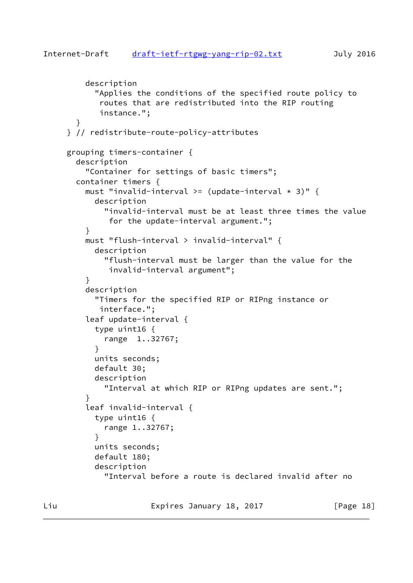```
 description
           "Applies the conditions of the specified route policy to
            routes that are redistributed into the RIP routing
            instance.";
      }
    } // redistribute-route-policy-attributes
    grouping timers-container {
      description
         "Container for settings of basic timers";
      container timers {
        must "invalid-interval >= (update-interval \star 3)" {
           description
             "invalid-interval must be at least three times the value
              for the update-interval argument.";
}
         must "flush-interval > invalid-interval" {
           description
             "flush-interval must be larger than the value for the
              invalid-interval argument";
         }
         description
           "Timers for the specified RIP or RIPng instance or
            interface.";
         leaf update-interval {
           type uint16 {
             range 1..32767;
}
           units seconds;
           default 30;
           description
             "Interval at which RIP or RIPng updates are sent.";
}
         leaf invalid-interval {
           type uint16 {
             range 1..32767;
}
           units seconds;
           default 180;
           description
             "Interval before a route is declared invalid after no
```
Liu **Expires January 18, 2017** [Page 18]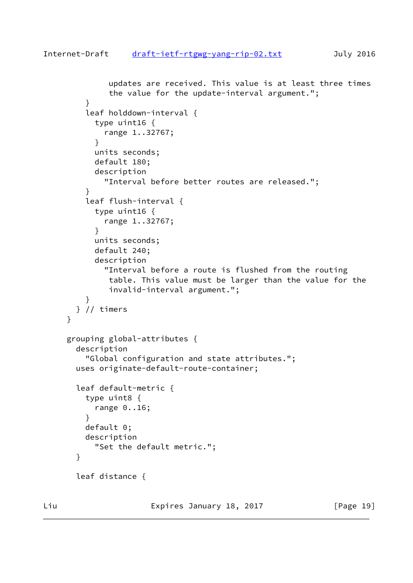```
 updates are received. This value is at least three times
              the value for the update-interval argument.";
}
        leaf holddown-interval {
          type uint16 {
             range 1..32767;
}
          units seconds;
          default 180;
          description
             "Interval before better routes are released.";
}
        leaf flush-interval {
          type uint16 {
             range 1..32767;
}
          units seconds;
          default 240;
          description
             "Interval before a route is flushed from the routing
             table. This value must be larger than the value for the
             invalid-interval argument.";
}
      } // timers
    }
    grouping global-attributes {
      description
        "Global configuration and state attributes.";
      uses originate-default-route-container;
      leaf default-metric {
        type uint8 {
          range 0..16;
}
        default 0;
        description
          "Set the default metric.";
      }
      leaf distance {
```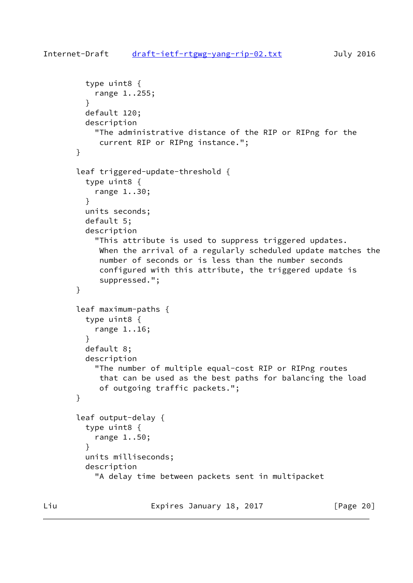```
 type uint8 {
           range 1..255;
}
         default 120;
         description
           "The administrative distance of the RIP or RIPng for the
            current RIP or RIPng instance.";
       }
       leaf triggered-update-threshold {
         type uint8 {
           range 1..30;
         }
         units seconds;
         default 5;
         description
           "This attribute is used to suppress triggered updates.
            When the arrival of a regularly scheduled update matches the
            number of seconds or is less than the number seconds
            configured with this attribute, the triggered update is
            suppressed.";
       }
       leaf maximum-paths {
         type uint8 {
           range 1..16;
         }
         default 8;
         description
           "The number of multiple equal-cost RIP or RIPng routes
            that can be used as the best paths for balancing the load
            of outgoing traffic packets.";
       }
       leaf output-delay {
         type uint8 {
           range 1..50;
}
         units milliseconds;
         description
           "A delay time between packets sent in multipacket
```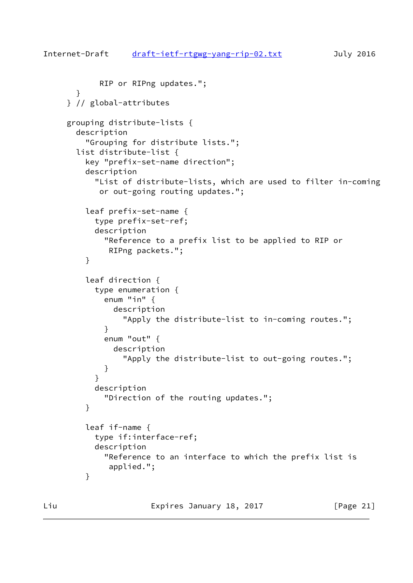```
 RIP or RIPng updates.";
      }
    } // global-attributes
    grouping distribute-lists {
      description
         "Grouping for distribute lists.";
      list distribute-list {
         key "prefix-set-name direction";
         description
           "List of distribute-lists, which are used to filter in-coming
            or out-going routing updates.";
         leaf prefix-set-name {
           type prefix-set-ref;
           description
             "Reference to a prefix list to be applied to RIP or
              RIPng packets.";
         }
         leaf direction {
           type enumeration {
             enum "in" {
               description
                 "Apply the distribute-list to in-coming routes.";
}
             enum "out" {
               description
                 "Apply the distribute-list to out-going routes.";
}
}
           description
             "Direction of the routing updates.";
         }
         leaf if-name {
           type if:interface-ref;
           description
             "Reference to an interface to which the prefix list is
              applied.";
         }
```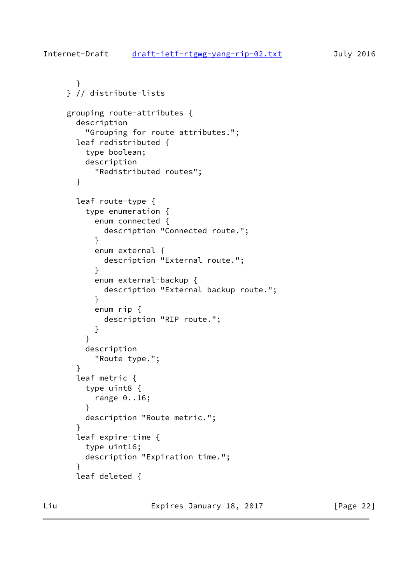```
 }
    } // distribute-lists
    grouping route-attributes {
      description
        "Grouping for route attributes.";
      leaf redistributed {
        type boolean;
        description
           "Redistributed routes";
      }
      leaf route-type {
        type enumeration {
          enum connected {
            description "Connected route.";
}
          enum external {
            description "External route.";
}
          enum external-backup {
            description "External backup route.";
}
          enum rip {
            description "RIP route.";
}
}
        description
          "Route type.";
}
      leaf metric {
        type uint8 {
           range 0..16;
        }
        description "Route metric.";
      }
      leaf expire-time {
        type uint16;
        description "Expiration time.";
      }
      leaf deleted {
```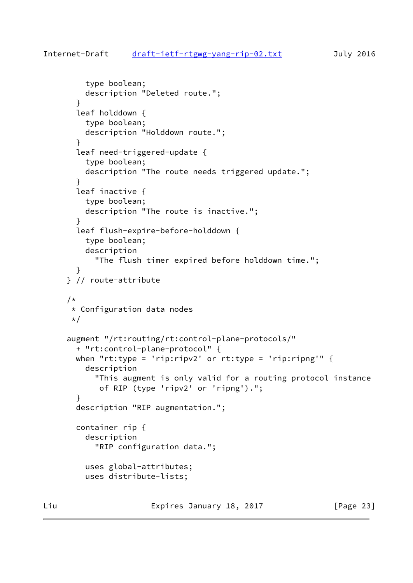```
 type boolean;
         description "Deleted route.";
       }
       leaf holddown {
         type boolean;
         description "Holddown route.";
       }
       leaf need-triggered-update {
         type boolean;
         description "The route needs triggered update.";
       }
       leaf inactive {
         type boolean;
         description "The route is inactive.";
}
       leaf flush-expire-before-holddown {
         type boolean;
         description
           "The flush timer expired before holddown time.";
       }
     } // route-attribute
     /*
      * Configuration data nodes
      */
     augment "/rt:routing/rt:control-plane-protocols/"
       + "rt:control-plane-protocol" {
      when "rt:type = 'rip:ripv2' or rt:type = 'rip:ripng'" {
         description
           "This augment is only valid for a routing protocol instance
            of RIP (type 'ripv2' or 'ripng').";
       }
       description "RIP augmentation.";
       container rip {
         description
           "RIP configuration data.";
         uses global-attributes;
         uses distribute-lists;
```
Liu Expires January 18, 2017 [Page 23]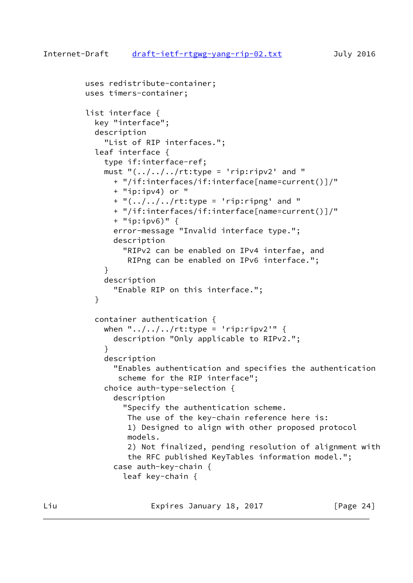```
 uses redistribute-container;
         uses timers-container;
         list interface {
           key "interface";
           description
             "List of RIP interfaces.";
           leaf interface {
             type if:interface-ref;
            must "(.../../rt:type = 'rip:ripv2' and "
               + "/if:interfaces/if:interface[name=current()]/"
               + "ip:ipv4) or "
              + "(../../../rt:type = 'rip:ripng' and "
               + "/if:interfaces/if:interface[name=current()]/"
               + "ip:ipv6)" {
               error-message "Invalid interface type.";
               description
                 "RIPv2 can be enabled on IPv4 interfae, and
                  RIPng can be enabled on IPv6 interface.";
}
             description
               "Enable RIP on this interface.";
}
           container authentication {
            when "\ldots/\ldots/\ldots/\taut:type = 'rip:ripv2'" {
               description "Only applicable to RIPv2.";
}
             description
               "Enables authentication and specifies the authentication
                scheme for the RIP interface";
             choice auth-type-selection {
               description
                 "Specify the authentication scheme.
                  The use of the key-chain reference here is:
                  1) Designed to align with other proposed protocol
                  models.
                  2) Not finalized, pending resolution of alignment with
                  the RFC published KeyTables information model.";
               case auth-key-chain {
                 leaf key-chain {
```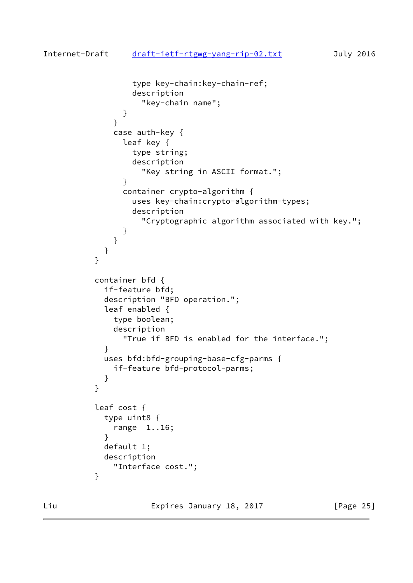```
 type key-chain:key-chain-ref;
                description
                  "key-chain name";
}
}
            case auth-key {
              leaf key {
                type string;
                description
                  "Key string in ASCII format.";
}
              container crypto-algorithm {
                uses key-chain:crypto-algorithm-types;
                description
                  "Cryptographic algorithm associated with key.";
}
}
}
}
         container bfd {
           if-feature bfd;
           description "BFD operation.";
           leaf enabled {
            type boolean;
            description
              "True if BFD is enabled for the interface.";
}
          uses bfd:bfd-grouping-base-cfg-parms {
            if-feature bfd-protocol-parms;
}
}
         leaf cost {
          type uint8 {
            range 1..16;
}
          default 1;
          description
            "Interface cost.";
}
```
Liu Expires January 18, 2017 [Page 25]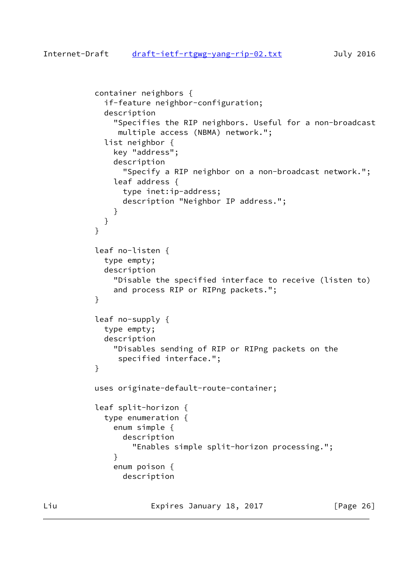```
 container neighbors {
            if-feature neighbor-configuration;
            description
              "Specifies the RIP neighbors. Useful for a non-broadcast
               multiple access (NBMA) network.";
            list neighbor {
              key "address";
              description
                "Specify a RIP neighbor on a non-broadcast network.";
              leaf address {
                type inet:ip-address;
                description "Neighbor IP address.";
}
}
}
          leaf no-listen {
            type empty;
            description
              "Disable the specified interface to receive (listen to)
              and process RIP or RIPng packets.";
}
          leaf no-supply {
            type empty;
            description
              "Disables sending of RIP or RIPng packets on the
               specified interface.";
}
          uses originate-default-route-container;
          leaf split-horizon {
            type enumeration {
              enum simple {
                description
                  "Enables simple split-horizon processing.";
}
              enum poison {
                description
```
Liu **Expires January 18, 2017** [Page 26]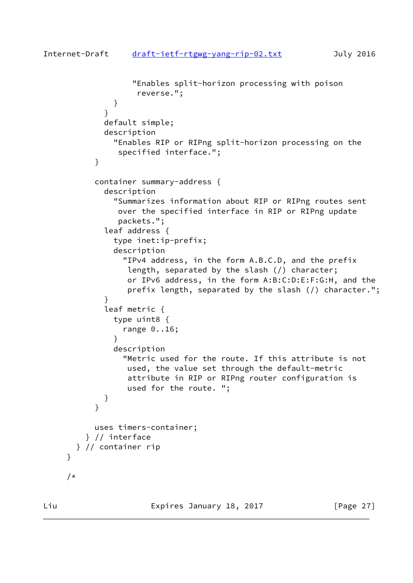```
 "Enables split-horizon processing with poison
                   reverse.";
}
}
            default simple;
            description
              "Enables RIP or RIPng split-horizon processing on the
               specified interface.";
}
          container summary-address {
            description
              "Summarizes information about RIP or RIPng routes sent
               over the specified interface in RIP or RIPng update
               packets.";
            leaf address {
              type inet:ip-prefix;
              description
                "IPv4 address, in the form A.B.C.D, and the prefix
                 length, separated by the slash (/) character;
                 or IPv6 address, in the form A:B:C:D:E:F:G:H, and the
                 prefix length, separated by the slash (/) character.";
}
            leaf metric {
              type uint8 {
                range 0..16;
}
              description
                "Metric used for the route. If this attribute is not
                 used, the value set through the default-metric
                 attribute in RIP or RIPng router configuration is
                 used for the route. ";
}
}
          uses timers-container;
        } // interface
      } // container rip
```
}

/\*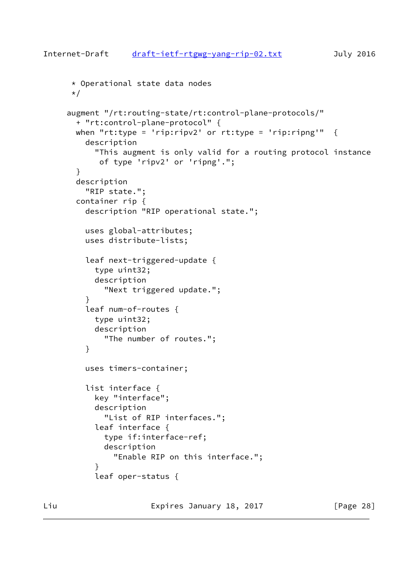```
Internet-Draft draft-ietf-rtgwg-yang-rip-02.txt July 2016
      * Operational state data nodes
      */
     augment "/rt:routing-state/rt:control-plane-protocols/"
       + "rt:control-plane-protocol" {
      when "rt:type = 'rip:ripv2' or rt:type = 'rip:ripng'" \{ description
           "This augment is only valid for a routing protocol instance
            of type 'ripv2' or 'ripng'.";
       }
       description
         "RIP state.";
       container rip {
         description "RIP operational state.";
         uses global-attributes;
         uses distribute-lists;
         leaf next-triggered-update {
           type uint32;
           description
             "Next triggered update.";
         }
         leaf num-of-routes {
           type uint32;
           description
             "The number of routes.";
         }
         uses timers-container;
         list interface {
           key "interface";
           description
             "List of RIP interfaces.";
           leaf interface {
             type if:interface-ref;
             description
               "Enable RIP on this interface.";
}
```
leaf oper-status {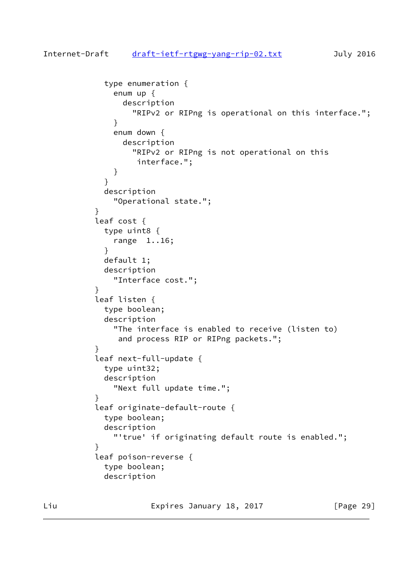```
draft-ietf-rtgwg-yang-rip-02.txt July 2016
           type enumeration {
             enum up {
               description
                 "RIPv2 or RIPng is operational on this interface.";
}
             enum down {
               description
                 "RIPv2 or RIPng is not operational on this
                  interface.";
}
}
           description
             "Operational state.";
}
          leaf cost {
           type uint8 {
             range 1..16;
}
           default 1;
           description
             "Interface cost.";
}
          leaf listen {
           type boolean;
           description
             "The interface is enabled to receive (listen to)
              and process RIP or RIPng packets.";
}
          leaf next-full-update {
           type uint32;
           description
             "Next full update time.";
}
          leaf originate-default-route {
           type boolean;
           description
             "'true' if originating default route is enabled.";
}
          leaf poison-reverse {
           type boolean;
           description
```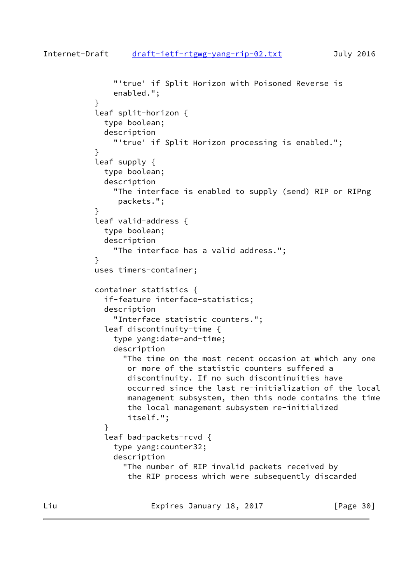```
 "'true' if Split Horizon with Poisoned Reverse is
              enabled.";
}
          leaf split-horizon {
            type boolean;
            description
               "'true' if Split Horizon processing is enabled.";
}
          leaf supply {
            type boolean;
            description
               "The interface is enabled to supply (send) RIP or RIPng
               packets.";
}
          leaf valid-address {
            type boolean;
            description
               "The interface has a valid address.";
}
          uses timers-container;
          container statistics {
             if-feature interface-statistics;
            description
               "Interface statistic counters.";
            leaf discontinuity-time {
              type yang:date-and-time;
              description
                 "The time on the most recent occasion at which any one
                 or more of the statistic counters suffered a
                 discontinuity. If no such discontinuities have
                 occurred since the last re-initialization of the local
                 management subsystem, then this node contains the time
                 the local management subsystem re-initialized
                 itself.";
}
             leaf bad-packets-rcvd {
              type yang:counter32;
              description
                 "The number of RIP invalid packets received by
                 the RIP process which were subsequently discarded
```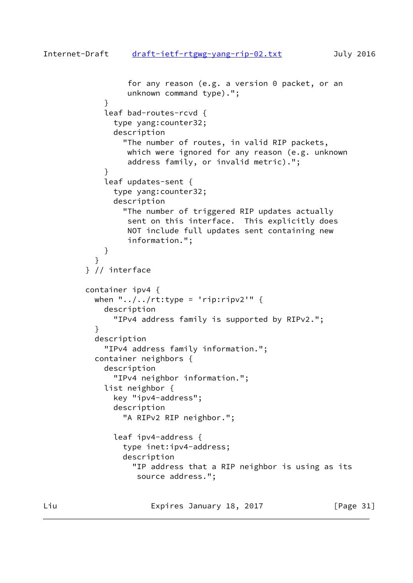```
 for any reason (e.g. a version 0 packet, or an
                  unknown command type).";
}
            leaf bad-routes-rcvd {
              type yang:counter32;
               description
                 "The number of routes, in valid RIP packets,
                 which were ignored for any reason (e.g. unknown
                  address family, or invalid metric).";
}
            leaf updates-sent {
               type yang:counter32;
               description
                 "The number of triggered RIP updates actually
                  sent on this interface. This explicitly does
                 NOT include full updates sent containing new
                  information.";
}
}
         } // interface
         container ipv4 {
         when "\ldots, /\ldots/rt:type = 'rip:ripv2'" {
            description
               "IPv4 address family is supported by RIPv2.";
}
           description
             "IPv4 address family information.";
           container neighbors {
             description
               "IPv4 neighbor information.";
             list neighbor {
               key "ipv4-address";
               description
                 "A RIPv2 RIP neighbor.";
               leaf ipv4-address {
                 type inet:ipv4-address;
                 description
                   "IP address that a RIP neighbor is using as its
                    source address.";
```
Liu **Expires January 18, 2017** [Page 31]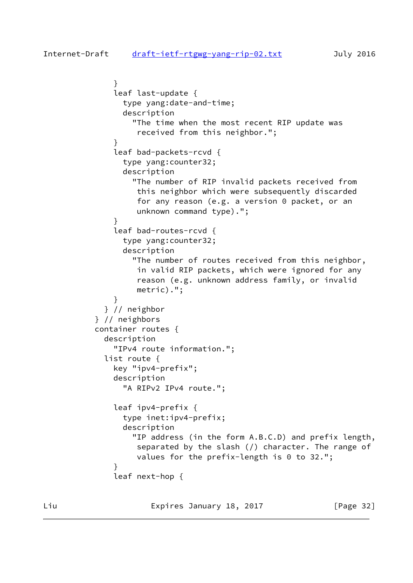```
 }
              leaf last-update {
                type yang:date-and-time;
                description
                  "The time when the most recent RIP update was
                   received from this neighbor.";
}
              leaf bad-packets-rcvd {
                type yang:counter32;
                description
                  "The number of RIP invalid packets received from
                   this neighbor which were subsequently discarded
                   for any reason (e.g. a version 0 packet, or an
                   unknown command type).";
}
              leaf bad-routes-rcvd {
                type yang:counter32;
                description
                  "The number of routes received from this neighbor,
                   in valid RIP packets, which were ignored for any
                   reason (e.g. unknown address family, or invalid
                   metric).";
}
            } // neighbor
          } // neighbors
          container routes {
            description
              "IPv4 route information.";
            list route {
              key "ipv4-prefix";
              description
                "A RIPv2 IPv4 route.";
              leaf ipv4-prefix {
                type inet:ipv4-prefix;
                description
                  "IP address (in the form A.B.C.D) and prefix length,
                   separated by the slash (/) character. The range of
                  values for the prefix-length is 0 to 32.";
}
              leaf next-hop {
```
Liu Expires January 18, 2017 [Page 32]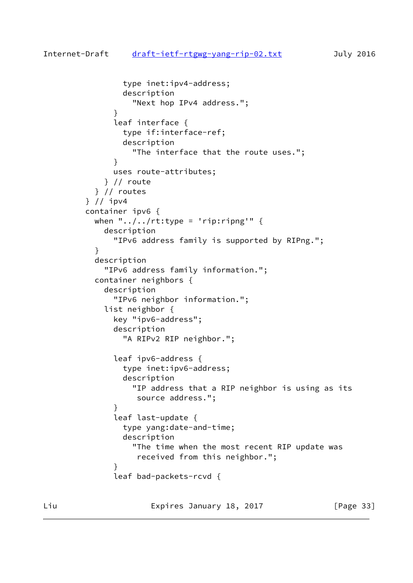```
 type inet:ipv4-address;
                description
                   "Next hop IPv4 address.";
}
              leaf interface {
                type if:interface-ref;
                description
                   "The interface that the route uses.";
}
              uses route-attributes;
            } // route
          } // routes
        } // ipv4
        container ipv6 {
         when "\ldots, /\ldots/rt:type = 'rip:ripng'" {
            description
               "IPv6 address family is supported by RIPng.";
}
          description
            "IPv6 address family information.";
          container neighbors {
            description
               "IPv6 neighbor information.";
            list neighbor {
              key "ipv6-address";
              description
                 "A RIPv2 RIP neighbor.";
              leaf ipv6-address {
                type inet:ipv6-address;
                description
                   "IP address that a RIP neighbor is using as its
                   source address.";
}
              leaf last-update {
                type yang:date-and-time;
                description
                   "The time when the most recent RIP update was
                    received from this neighbor.";
}
              leaf bad-packets-rcvd {
```
Liu **Expires January 18, 2017** [Page 33]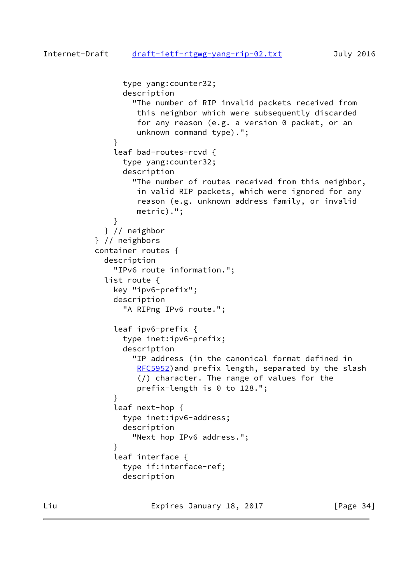```
 type yang:counter32;
                description
                   "The number of RIP invalid packets received from
                    this neighbor which were subsequently discarded
                    for any reason (e.g. a version 0 packet, or an
                   unknown command type).";
}
              leaf bad-routes-rcvd {
                type yang:counter32;
                description
                   "The number of routes received from this neighbor,
                   in valid RIP packets, which were ignored for any
                    reason (e.g. unknown address family, or invalid
                   metric).";
}
             } // neighbor
          } // neighbors
          container routes {
            description
               "IPv6 route information.";
            list route {
              key "ipv6-prefix";
              description
                 "A RIPng IPv6 route.";
               leaf ipv6-prefix {
                type inet:ipv6-prefix;
                description
                   "IP address (in the canonical format defined in
                  RFC5952) and prefix length, separated by the slash
                   (/) character. The range of values for the
                   prefix-length is 0 to 128.";
}
               leaf next-hop {
                type inet:ipv6-address;
                description
                   "Next hop IPv6 address.";
}
              leaf interface {
                type if:interface-ref;
                description
```
Liu **Expires January 18, 2017** [Page 34]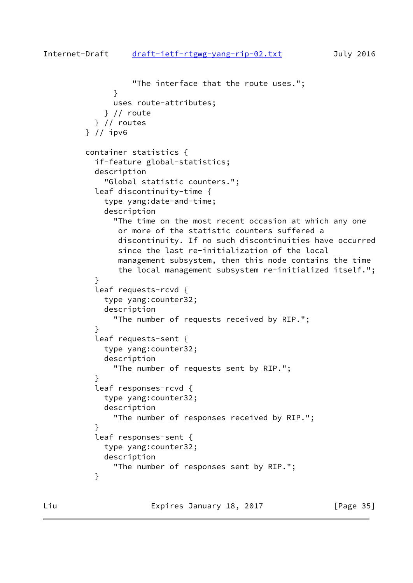```
 "The interface that the route uses.";
}
              uses route-attributes;
            } // route
          } // routes
        } // ipv6
        container statistics {
          if-feature global-statistics;
          description
            "Global statistic counters.";
          leaf discontinuity-time {
            type yang:date-and-time;
            description
              "The time on the most recent occasion at which any one
               or more of the statistic counters suffered a
               discontinuity. If no such discontinuities have occurred
               since the last re-initialization of the local
               management subsystem, then this node contains the time
               the local management subsystem re-initialized itself.";
}
          leaf requests-rcvd {
            type yang:counter32;
            description
              "The number of requests received by RIP.";
}
          leaf requests-sent {
            type yang:counter32;
            description
              "The number of requests sent by RIP.";
}
          leaf responses-rcvd {
            type yang:counter32;
            description
              "The number of responses received by RIP.";
}
          leaf responses-sent {
            type yang:counter32;
            description
              "The number of responses sent by RIP.";
}
```
Liu **Expires January 18, 2017** [Page 35]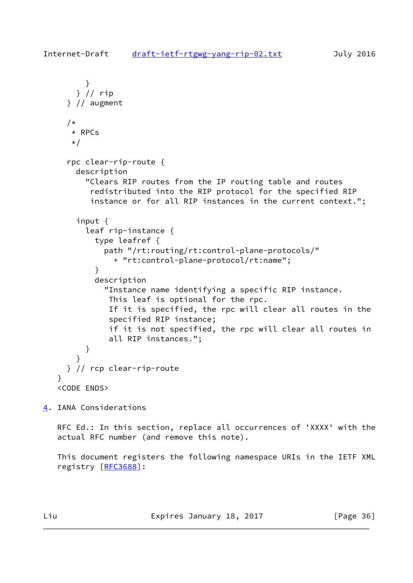```
 }
       } // rip
     } // augment
    /*
      * RPCs
    \star/ rpc clear-rip-route {
       description
         "Clears RIP routes from the IP routing table and routes
          redistributed into the RIP protocol for the specified RIP
          instance or for all RIP instances in the current context.";
       input {
         leaf rip-instance {
           type leafref {
             path "/rt:routing/rt:control-plane-protocols/"
               + "rt:control-plane-protocol/rt:name";
}
           description
             "Instance name identifying a specific RIP instance.
              This leaf is optional for the rpc.
              If it is specified, the rpc will clear all routes in the
              specified RIP instance;
              if it is not specified, the rpc will clear all routes in
              all RIP instances.";
         }
       }
     } // rcp clear-rip-route
   }
   <CODE ENDS>
```
<span id="page-36-0"></span>[4](#page-36-0). IANA Considerations

 RFC Ed.: In this section, replace all occurrences of 'XXXX' with the actual RFC number (and remove this note).

 This document registers the following namespace URIs in the IETF XML registry [\[RFC3688](https://datatracker.ietf.org/doc/pdf/rfc3688)]:

Liu **Expires January 18, 2017** [Page 36]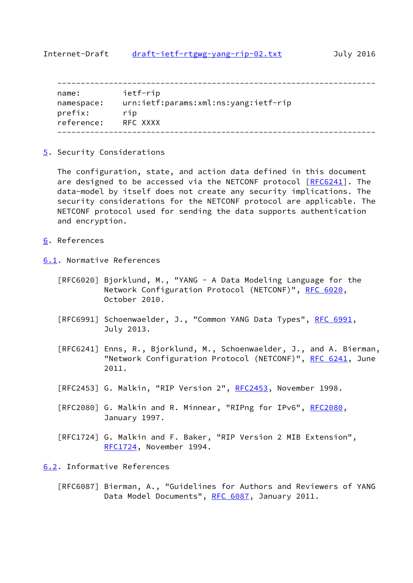<span id="page-37-1"></span>

| name:      | ietf-rip                             |
|------------|--------------------------------------|
| namespace: | urn:ietf:params:xml:ns:yang:ietf-rip |
| prefix:    | rip                                  |
| reference: | RFC XXXX                             |
|            |                                      |

<span id="page-37-0"></span>[5](#page-37-0). Security Considerations

 The configuration, state, and action data defined in this document are designed to be accessed via the NETCONF protocol [\[RFC6241](https://datatracker.ietf.org/doc/pdf/rfc6241)]. The data-model by itself does not create any security implications. The security considerations for the NETCONF protocol are applicable. The NETCONF protocol used for sending the data supports authentication and encryption.

- <span id="page-37-2"></span>[6](#page-37-2). References
- <span id="page-37-3"></span>[6.1](#page-37-3). Normative References
	- [RFC6020] Bjorklund, M., "YANG A Data Modeling Language for the Network Configuration Protocol (NETCONF)", [RFC 6020](https://datatracker.ietf.org/doc/pdf/rfc6020), October 2010.
	- [RFC6991] Schoenwaelder, J., "Common YANG Data Types", [RFC 6991,](https://datatracker.ietf.org/doc/pdf/rfc6991) July 2013.
	- [RFC6241] Enns, R., Bjorklund, M., Schoenwaelder, J., and A. Bierman, "Network Configuration Protocol (NETCONF)", [RFC 6241](https://datatracker.ietf.org/doc/pdf/rfc6241), June 2011.
	- [RFC2453] G. Malkin, "RIP Version 2", [RFC2453](https://datatracker.ietf.org/doc/pdf/rfc2453), November 1998.
	- [RFC2080] G. Malkin and R. Minnear, "RIPng for IPv6", [RFC2080](https://datatracker.ietf.org/doc/pdf/rfc2080), January 1997.
	- [RFC1724] G. Malkin and F. Baker, "RIP Version 2 MIB Extension", [RFC1724](https://datatracker.ietf.org/doc/pdf/rfc1724), November 1994.

<span id="page-37-4"></span>[6.2](#page-37-4). Informative References

 [RFC6087] Bierman, A., "Guidelines for Authors and Reviewers of YANG Data Model Documents", [RFC 6087](https://datatracker.ietf.org/doc/pdf/rfc6087), January 2011.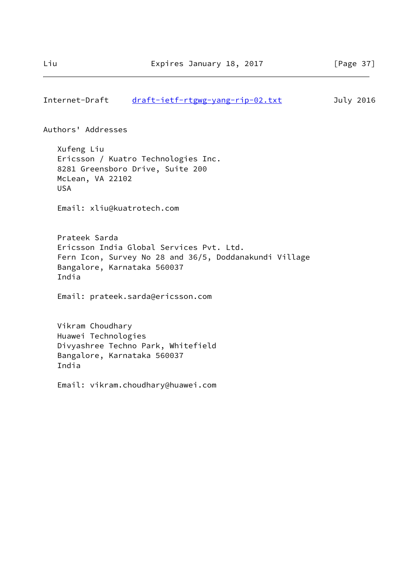### Authors' Addresses

 Xufeng Liu Ericsson / Kuatro Technologies Inc. 8281 Greensboro Drive, Suite 200 McLean, VA 22102 USA

Email: xliu@kuatrotech.com

 Prateek Sarda Ericsson India Global Services Pvt. Ltd. Fern Icon, Survey No 28 and 36/5, Doddanakundi Village Bangalore, Karnataka 560037 India

Email: prateek.sarda@ericsson.com

 Vikram Choudhary Huawei Technologies Divyashree Techno Park, Whitefield Bangalore, Karnataka 560037 India

Email: vikram.choudhary@huawei.com